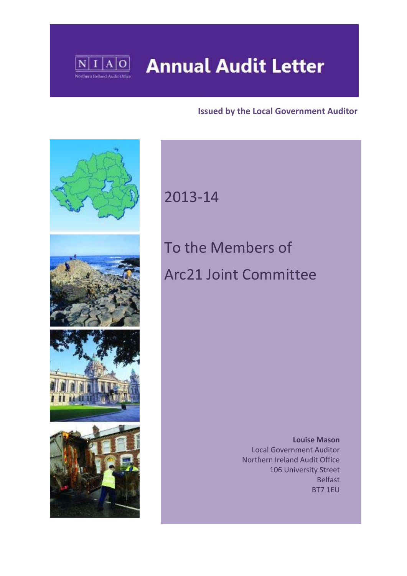

# **Annual Audit Letter**

### **Issued by the Local Government Auditor**



# 2013‐14

# To the Members of Arc21 Joint Committee

 **Louise Mason** Local Government Auditor Northern Ireland Audit Office 106 University Street Belfast BT7 1EU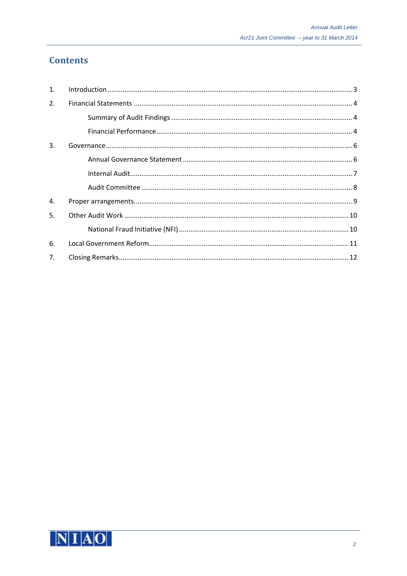# **Contents**

| $\mathbf{1}$ . |  |
|----------------|--|
| 2.             |  |
|                |  |
|                |  |
| 3.             |  |
|                |  |
|                |  |
|                |  |
| 4.             |  |
| 5.             |  |
|                |  |
| 6.             |  |
| 7.             |  |

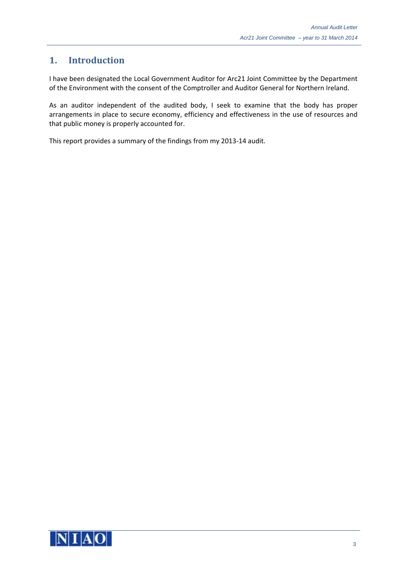# **1. Introduction**

I have been designated the Local Government Auditor for Arc21 Joint Committee by the Department of the Environment with the consent of the Comptroller and Auditor General for Northern Ireland.

As an auditor independent of the audited body, I seek to examine that the body has proper arrangements in place to secure economy, efficiency and effectiveness in the use of resources and that public money is properly accounted for.

This report provides a summary of the findings from my 2013‐14 audit.

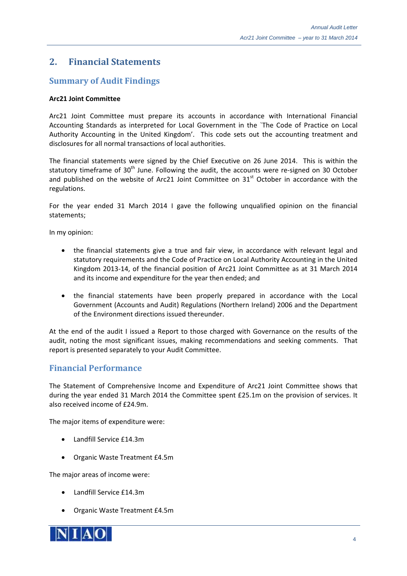### **2. Financial Statements**

#### **Summary of Audit Findings**

#### **Arc21 Joint Committee**

Arc21 Joint Committee must prepare its accounts in accordance with International Financial Accounting Standards as interpreted for Local Government in the `The Code of Practice on Local Authority Accounting in the United Kingdom'. This code sets out the accounting treatment and disclosures for all normal transactions of local authorities.

The financial statements were signed by the Chief Executive on 26 June 2014. This is within the statutory timeframe of  $30<sup>th</sup>$  June. Following the audit, the accounts were re-signed on 30 October and published on the website of Arc21 Joint Committee on  $31<sup>st</sup>$  October in accordance with the regulations.

For the year ended 31 March 2014 I gave the following unqualified opinion on the financial statements;

In my opinion:

- the financial statements give a true and fair view, in accordance with relevant legal and statutory requirements and the Code of Practice on Local Authority Accounting in the United Kingdom 2013‐14, of the financial position of Arc21 Joint Committee as at 31 March 2014 and its income and expenditure for the year then ended; and
- the financial statements have been properly prepared in accordance with the Local Government (Accounts and Audit) Regulations (Northern Ireland) 2006 and the Department of the Environment directions issued thereunder.

At the end of the audit I issued a Report to those charged with Governance on the results of the audit, noting the most significant issues, making recommendations and seeking comments. That report is presented separately to your Audit Committee.

#### **Financial Performance**

The Statement of Comprehensive Income and Expenditure of Arc21 Joint Committee shows that during the year ended 31 March 2014 the Committee spent £25.1m on the provision of services. It also received income of £24.9m.

The major items of expenditure were:

- Landfill Service £14.3m
- Organic Waste Treatment £4.5m

The major areas of income were:

- Landfill Service £14.3m
- Organic Waste Treatment £4.5m

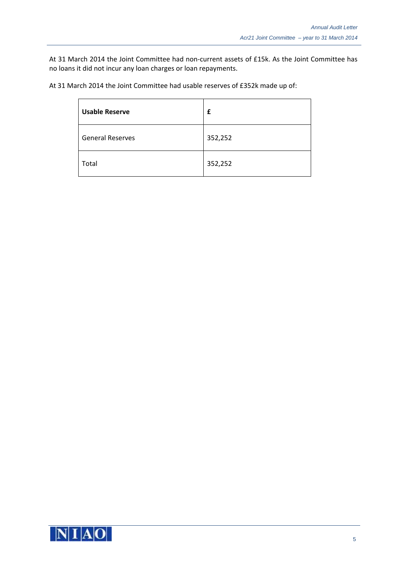At 31 March 2014 the Joint Committee had non-current assets of £15k. As the Joint Committee has no loans it did not incur any loan charges or loan repayments.

| At 31 March 2014 the Joint Committee had usable reserves of £352k made up of: |  |
|-------------------------------------------------------------------------------|--|
|-------------------------------------------------------------------------------|--|

| <b>Usable Reserve</b>   | £       |
|-------------------------|---------|
| <b>General Reserves</b> | 352,252 |
| Total                   | 352,252 |

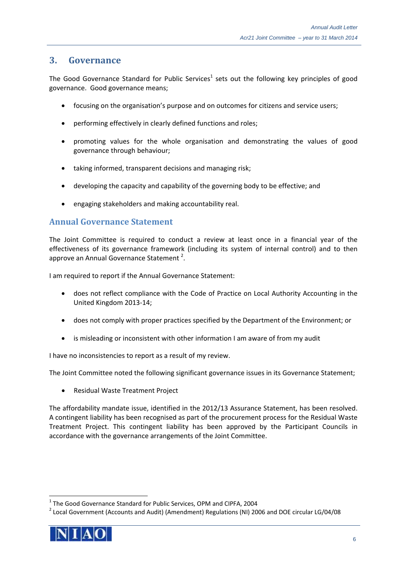#### **3. Governance**

The Good Governance Standard for Public Services<sup>1</sup> sets out the following key principles of good governance. Good governance means;

- focusing on the organisation's purpose and on outcomes for citizens and service users;
- performing effectively in clearly defined functions and roles;
- promoting values for the whole organisation and demonstrating the values of good governance through behaviour;
- taking informed, transparent decisions and managing risk;
- developing the capacity and capability of the governing body to be effective; and
- engaging stakeholders and making accountability real.

#### **Annual Governance Statement**

The Joint Committee is required to conduct a review at least once in a financial year of the effectiveness of its governance framework (including its system of internal control) and to then approve an Annual Governance Statement<sup>2</sup>.

I am required to report if the Annual Governance Statement:

- does not reflect compliance with the Code of Practice on Local Authority Accounting in the United Kingdom 2013‐14;
- does not comply with proper practices specified by the Department of the Environment; or
- is misleading or inconsistent with other information I am aware of from my audit

I have no inconsistencies to report as a result of my review.

The Joint Committee noted the following significant governance issues in its Governance Statement;

Residual Waste Treatment Project

The affordability mandate issue, identified in the 2012/13 Assurance Statement, has been resolved. A contingent liability has been recognised as part of the procurement process for the Residual Waste Treatment Project. This contingent liability has been approved by the Participant Councils in accordance with the governance arrangements of the Joint Committee.

<sup>&</sup>lt;sup>1</sup> The Good Governance Standard for Public Services, OPM and CIPFA, 2004<br><sup>2</sup> Local Government (Accounts and Audit) (Amendment) Regulations (NI) 2006 and DOE circular LG/04/08

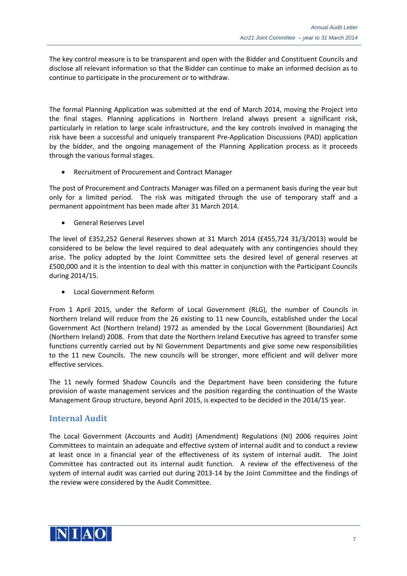The key control measure is to be transparent and open with the Bidder and Constituent Councils and disclose all relevant information so that the Bidder can continue to make an informed decision as to continue to participate in the procurement or to withdraw.

The formal Planning Application was submitted at the end of March 2014, moving the Project into the final stages. Planning applications in Northern Ireland always present a significant risk, particularly in relation to large scale infrastructure, and the key controls involved in managing the risk have been a successful and uniquely transparent Pre‐Application Discussions (PAD) application by the bidder, and the ongoing management of the Planning Application process as it proceeds through the various formal stages.

Recruitment of Procurement and Contract Manager

The post of Procurement and Contracts Manager was filled on a permanent basis during the year but only for a limited period. The risk was mitigated through the use of temporary staff and a permanent appointment has been made after 31 March 2014.

General Reserves Level

The level of £352,252 General Reserves shown at 31 March 2014 (£455,724 31/3/2013) would be considered to be below the level required to deal adequately with any contingencies should they arise. The policy adopted by the Joint Committee sets the desired level of general reserves at £500,000 and it is the intention to deal with this matter in conjunction with the Participant Councils during 2014/15.

Local Government Reform

From 1 April 2015, under the Reform of Local Government (RLG), the number of Councils in Northern Ireland will reduce from the 26 existing to 11 new Councils, established under the Local Government Act (Northern Ireland) 1972 as amended by the Local Government (Boundaries) Act (Northern Ireland) 2008. From that date the Northern Ireland Executive has agreed to transfer some functions currently carried out by NI Government Departments and give some new responsibilities to the 11 new Councils. The new councils will be stronger, more efficient and will deliver more effective services.

The 11 newly formed Shadow Councils and the Department have been considering the future provision of waste management services and the position regarding the continuation of the Waste Management Group structure, beyond April 2015, is expected to be decided in the 2014/15 year.

#### **Internal Audit**

The Local Government (Accounts and Audit) (Amendment) Regulations (NI) 2006 requires Joint Committees to maintain an adequate and effective system of internal audit and to conduct a review at least once in a financial year of the effectiveness of its system of internal audit. The Joint Committee has contracted out its internal audit function. A review of the effectiveness of the system of internal audit was carried out during 2013‐14 by the Joint Committee and the findings of the review were considered by the Audit Committee.

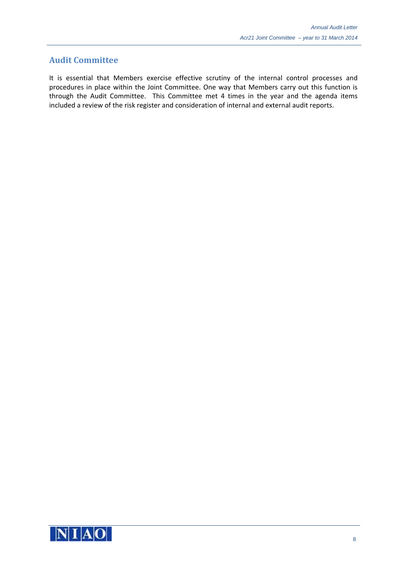#### **Audit Committee**

It is essential that Members exercise effective scrutiny of the internal control processes and procedures in place within the Joint Committee. One way that Members carry out this function is through the Audit Committee. This Committee met 4 times in the year and the agenda items included a review of the risk register and consideration of internal and external audit reports.

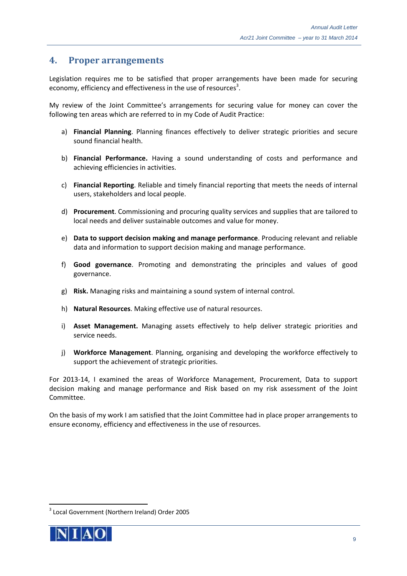#### **4. Proper arrangements**

Legislation requires me to be satisfied that proper arrangements have been made for securing economy, efficiency and effectiveness in the use of resources<sup>3</sup>.

My review of the Joint Committee's arrangements for securing value for money can cover the following ten areas which are referred to in my Code of Audit Practice:

- a) **Financial Planning**. Planning finances effectively to deliver strategic priorities and secure sound financial health.
- b) **Financial Performance.** Having a sound understanding of costs and performance and achieving efficiencies in activities.
- c) **Financial Reporting**. Reliable and timely financial reporting that meets the needs of internal users, stakeholders and local people.
- d) **Procurement**. Commissioning and procuring quality services and supplies that are tailored to local needs and deliver sustainable outcomes and value for money.
- e) **Data to support decision making and manage performance**. Producing relevant and reliable data and information to support decision making and manage performance.
- f) **Good governance**. Promoting and demonstrating the principles and values of good governance.
- g) **Risk.** Managing risks and maintaining a sound system of internal control.
- h) **Natural Resources**. Making effective use of natural resources.
- i) **Asset Management.** Managing assets effectively to help deliver strategic priorities and service needs.
- j) **Workforce Management**. Planning, organising and developing the workforce effectively to support the achievement of strategic priorities.

For 2013-14, I examined the areas of Workforce Management, Procurement, Data to support decision making and manage performance and Risk based on my risk assessment of the Joint Committee.

On the basis of my work I am satisfied that the Joint Committee had in place proper arrangements to ensure economy, efficiency and effectiveness in the use of resources.



<sup>3</sup> Local Government (Northern Ireland) Order 2005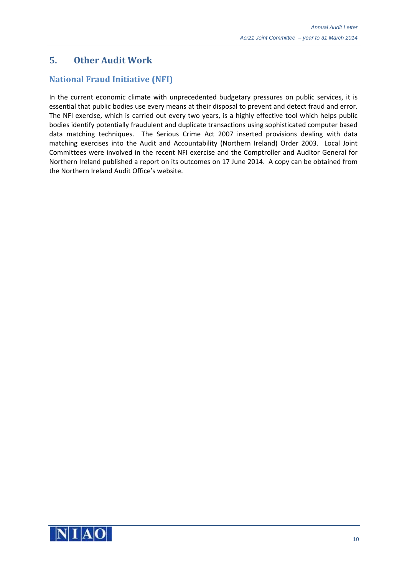# **5. Other Audit Work**

# **National Fraud Initiative (NFI)**

In the current economic climate with unprecedented budgetary pressures on public services, it is essential that public bodies use every means at their disposal to prevent and detect fraud and error. The NFI exercise, which is carried out every two years, is a highly effective tool which helps public bodies identify potentially fraudulent and duplicate transactions using sophisticated computer based data matching techniques. The Serious Crime Act 2007 inserted provisions dealing with data matching exercises into the Audit and Accountability (Northern Ireland) Order 2003. Local Joint Committees were involved in the recent NFI exercise and the Comptroller and Auditor General for Northern Ireland published a report on its outcomes on 17 June 2014. A copy can be obtained from the Northern Ireland Audit Office's website.

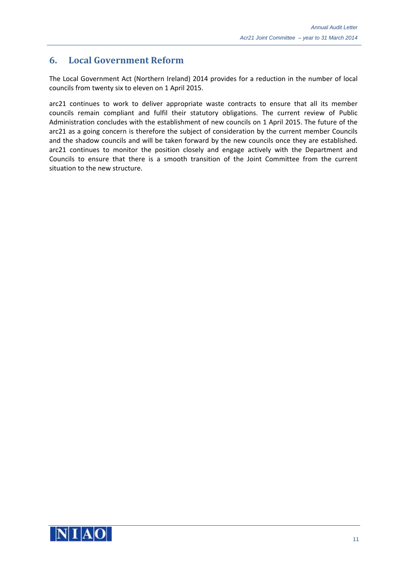## **6. Local Government Reform**

The Local Government Act (Northern Ireland) 2014 provides for a reduction in the number of local councils from twenty six to eleven on 1 April 2015.

arc21 continues to work to deliver appropriate waste contracts to ensure that all its member councils remain compliant and fulfil their statutory obligations. The current review of Public Administration concludes with the establishment of new councils on 1 April 2015. The future of the arc21 as a going concern is therefore the subject of consideration by the current member Councils and the shadow councils and will be taken forward by the new councils once they are established. arc21 continues to monitor the position closely and engage actively with the Department and Councils to ensure that there is a smooth transition of the Joint Committee from the current situation to the new structure.